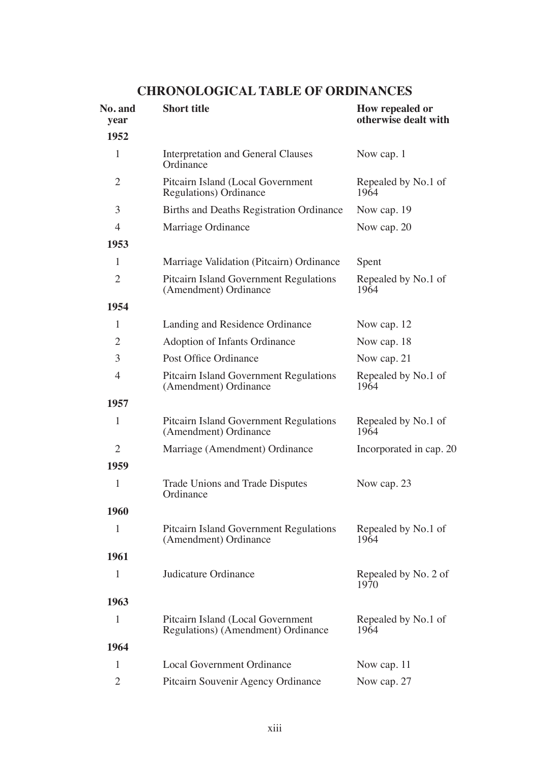# **No. and Short title How repealed or How repealed or vear otherwise dealt w year otherwise dealt with 1952** 1 Interpretation and General Clauses Now cap. 1 **Ordinance** 2 Pitcairn Island (Local Government Repealed by No.1 of Regulations) Ordinance 1964 Regulations) Ordinance 3 Births and Deaths Registration Ordinance Now cap. 19 4 Marriage Ordinance Now cap. 20 **1953** 1 Marriage Validation (Pitcairn) Ordinance Spent 2 Pitcairn Island Government Regulations Repealed by No.1 of (Amendment) Ordinance 1964 (Amendment) Ordinance **1954** 1 Landing and Residence Ordinance Now cap. 12 2 Adoption of Infants Ordinance Now cap. 18 3 Post Office Ordinance Now cap. 21 4 Pitcairn Island Government Regulations Repealed by No.1 of (Amendment) Ordinance 1964 (Amendment) Ordinance **1957** <sup>1</sup> Pitcairn Island Government Regulations Repealed by No.1 of (Amendment) Ordinance <sup>1964</sup> 2 Marriage (Amendment) Ordinance Incorporated in cap. 20 **1959** 1 Trade Unions and Trade Disputes Now cap. 23<br>Ordinance **1960** 1 Pitcairn Island Government Regulations Repealed by No.1 of (Amendment) Ordinance 1964 (Amendment) Ordinance **1961** 1 Judicature Ordinance Repealed by No. 2 of 1970 1970 **1963** 1 Pitcairn Island (Local Government Repealed by No.1 of Regulations) (Amendment) Ordinance 1964 Regulations) (Amendment) Ordinance **1964** 1 Local Government Ordinance Now cap. 11 2 Pitcairn Souvenir Agency Ordinance Now cap. 27

## **CHRONOLOGICAL TABLE OF ORDINANCES**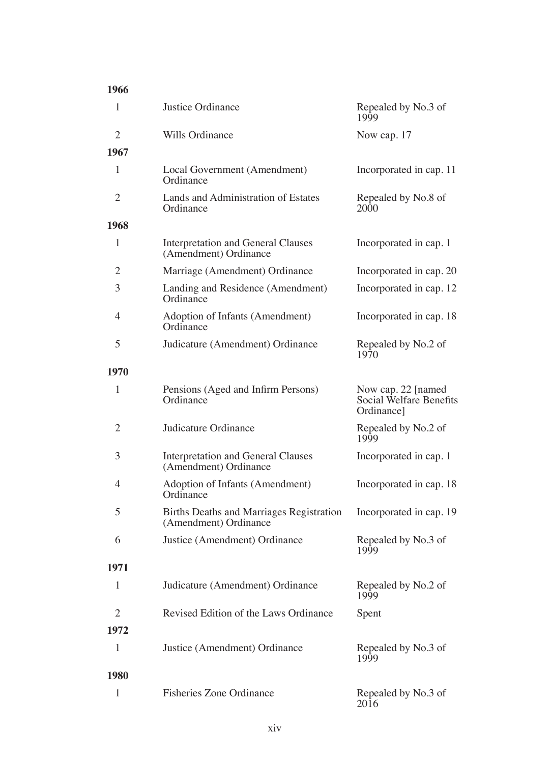| 1966           |                                                                   |                                                              |
|----------------|-------------------------------------------------------------------|--------------------------------------------------------------|
| 1              | Justice Ordinance                                                 | Repealed by No.3 of<br>1999                                  |
| $\overline{c}$ | Wills Ordinance                                                   | Now cap. 17                                                  |
| 1967           |                                                                   |                                                              |
| 1              | Local Government (Amendment)<br>Ordinance                         | Incorporated in cap. 11                                      |
| $\overline{2}$ | Lands and Administration of Estates<br>Ordinance                  | Repealed by No.8 of<br>2000                                  |
| 1968           |                                                                   |                                                              |
| 1              | Interpretation and General Clauses<br>(Amendment) Ordinance       | Incorporated in cap. 1                                       |
| 2              | Marriage (Amendment) Ordinance                                    | Incorporated in cap. 20                                      |
| 3              | Landing and Residence (Amendment)<br>Ordinance                    | Incorporated in cap. 12                                      |
| 4              | Adoption of Infants (Amendment)<br>Ordinance                      | Incorporated in cap. 18                                      |
| 5              | Judicature (Amendment) Ordinance                                  | Repealed by No.2 of<br>1970                                  |
| 1970           |                                                                   |                                                              |
| 1              | Pensions (Aged and Infirm Persons)<br>Ordinance                   | Now cap. 22 [named]<br>Social Welfare Benefits<br>Ordinance] |
| $\overline{2}$ | Judicature Ordinance                                              | Repealed by No.2 of<br>1999                                  |
| 3              | Interpretation and General Clauses<br>(Amendment) Ordinance       | Incorporated in cap. 1                                       |
| 4              | Adoption of Infants (Amendment)<br>Ordinance                      | Incorporated in cap. 18                                      |
| 5              | Births Deaths and Marriages Registration<br>(Amendment) Ordinance | Incorporated in cap. 19                                      |
| 6              | Justice (Amendment) Ordinance                                     | Repealed by No.3 of<br>1999                                  |
| 1971           |                                                                   |                                                              |
| 1              | Judicature (Amendment) Ordinance                                  | Repealed by No.2 of<br>1999                                  |
| $\overline{c}$ | Revised Edition of the Laws Ordinance                             | Spent                                                        |
| 1972           |                                                                   |                                                              |
| $\mathbf{1}$   | Justice (Amendment) Ordinance                                     | Repealed by No.3 of<br>1999                                  |
| 1980           |                                                                   |                                                              |
| $\mathbf{1}$   | <b>Fisheries Zone Ordinance</b>                                   | Repealed by No.3 of<br>2016                                  |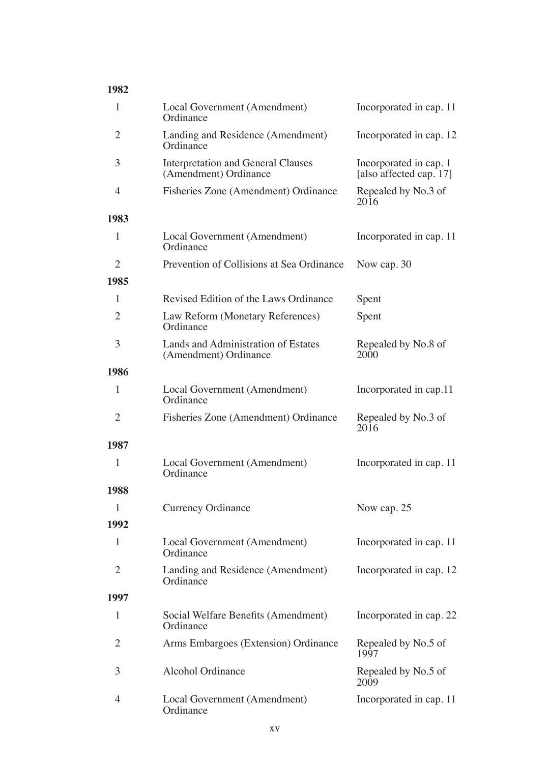| 1982           |                                                                    |                                                   |
|----------------|--------------------------------------------------------------------|---------------------------------------------------|
| 1              | Local Government (Amendment)<br>Ordinance                          | Incorporated in cap. 11                           |
| $\overline{2}$ | Landing and Residence (Amendment)<br>Ordinance                     | Incorporated in cap. 12                           |
| 3              | <b>Interpretation and General Clauses</b><br>(Amendment) Ordinance | Incorporated in cap. 1<br>[also affected cap. 17] |
| 4              | Fisheries Zone (Amendment) Ordinance                               | Repealed by No.3 of<br>2016                       |
| 1983           |                                                                    |                                                   |
| 1              | Local Government (Amendment)<br>Ordinance                          | Incorporated in cap. 11                           |
| $\overline{2}$ | Prevention of Collisions at Sea Ordinance                          | Now cap. 30                                       |
| 1985           |                                                                    |                                                   |
| 1              | Revised Edition of the Laws Ordinance                              | Spent                                             |
| $\overline{2}$ | Law Reform (Monetary References)<br>Ordinance                      | Spent                                             |
| 3              | Lands and Administration of Estates<br>(Amendment) Ordinance       | Repealed by No.8 of<br>2000                       |
| 1986           |                                                                    |                                                   |
| 1              | Local Government (Amendment)<br>Ordinance                          | Incorporated in cap.11                            |
| 2              | Fisheries Zone (Amendment) Ordinance                               | Repealed by No.3 of<br>2016                       |
| 1987           |                                                                    |                                                   |
| 1              | Local Government (Amendment)<br>Ordinance                          | Incorporated in cap. 11                           |
| 1988           |                                                                    |                                                   |
| 1              | Currency Ordinance                                                 | Now cap. 25                                       |
| 1992           |                                                                    |                                                   |
| 1              | Local Government (Amendment)<br>Ordinance                          | Incorporated in cap. 11                           |
| $\overline{2}$ | Landing and Residence (Amendment)<br>Ordinance                     | Incorporated in cap. 12                           |
| 1997           |                                                                    |                                                   |
| $\mathbf{1}$   | Social Welfare Benefits (Amendment)<br>Ordinance                   | Incorporated in cap. 22                           |
| 2              | Arms Embargoes (Extension) Ordinance                               | Repealed by No.5 of<br>1997                       |
| 3              | Alcohol Ordinance                                                  | Repealed by No.5 of<br>2009                       |
| $\overline{4}$ | Local Government (Amendment)<br>Ordinance                          | Incorporated in cap. 11                           |

#### xv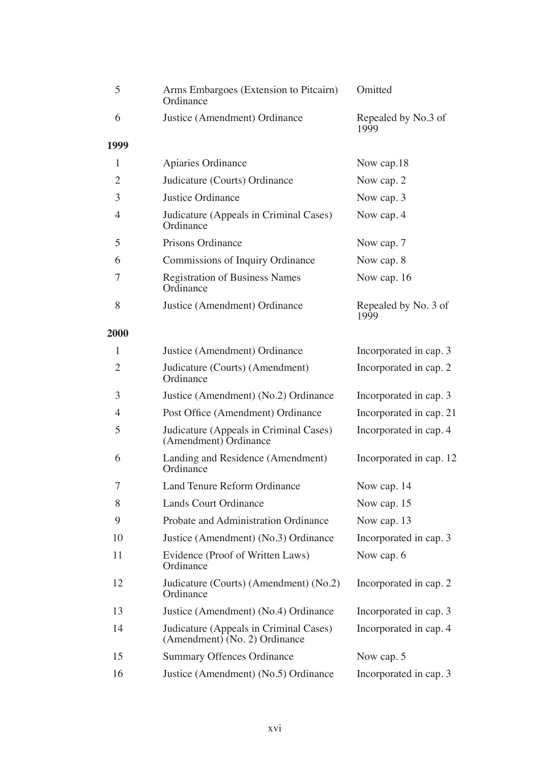| 5              | Arms Embargoes (Extension to Pitcairn)<br>Ordinance                     | Omitted                      |
|----------------|-------------------------------------------------------------------------|------------------------------|
| 6              | Justice (Amendment) Ordinance                                           | Repealed by No.3 of<br>1999  |
| 1999           |                                                                         |                              |
| 1              | Apiaries Ordinance                                                      | Now cap.18                   |
| $\overline{c}$ | Judicature (Courts) Ordinance                                           | Now cap. 2                   |
| 3              | Justice Ordinance                                                       | Now cap. 3                   |
| 4              | Judicature (Appeals in Criminal Cases)<br>Ordinance                     | Now cap. 4                   |
| 5              | Prisons Ordinance                                                       | Now cap. 7                   |
| 6              | Commissions of Inquiry Ordinance                                        | Now cap. 8                   |
| 7              | <b>Registration of Business Names</b><br>Ordinance                      | Now cap. 16                  |
| 8              | Justice (Amendment) Ordinance                                           | Repealed by No. 3 of<br>1999 |
| 2000           |                                                                         |                              |
| 1              | Justice (Amendment) Ordinance                                           | Incorporated in cap. 3       |
| $\overline{c}$ | Judicature (Courts) (Amendment)<br>Ordinance                            | Incorporated in cap. 2       |
| 3              | Justice (Amendment) (No.2) Ordinance                                    | Incorporated in cap. 3       |
| 4              | Post Office (Amendment) Ordinance                                       | Incorporated in cap. 21      |
| 5              | Judicature (Appeals in Criminal Cases)<br>(Amendment) Ordinance         | Incorporated in cap. 4       |
| 6              | Landing and Residence (Amendment)<br>Ordinance                          | Incorporated in cap. 12      |
| 7              | Land Tenure Reform Ordinance                                            | Now cap. 14                  |
| 8              | Lands Court Ordinance                                                   | Now cap. 15                  |
| 9              | Probate and Administration Ordinance                                    | Now cap. 13                  |
| 10             | Justice (Amendment) (No.3) Ordinance                                    | Incorporated in cap. 3       |
| 11             | Evidence (Proof of Written Laws)<br>Ordinance                           | Now cap. 6                   |
| 12             | Judicature (Courts) (Amendment) (No.2)<br>Ordinance                     | Incorporated in cap. 2       |
| 13             | Justice (Amendment) (No.4) Ordinance                                    | Incorporated in cap. 3       |
| 14             | Judicature (Appeals in Criminal Cases)<br>(Amendment) (No. 2) Ordinance | Incorporated in cap. 4       |
| 15             | Summary Offences Ordinance                                              | Now cap. 5                   |
| 16             | Justice (Amendment) (No.5) Ordinance                                    | Incorporated in cap. 3       |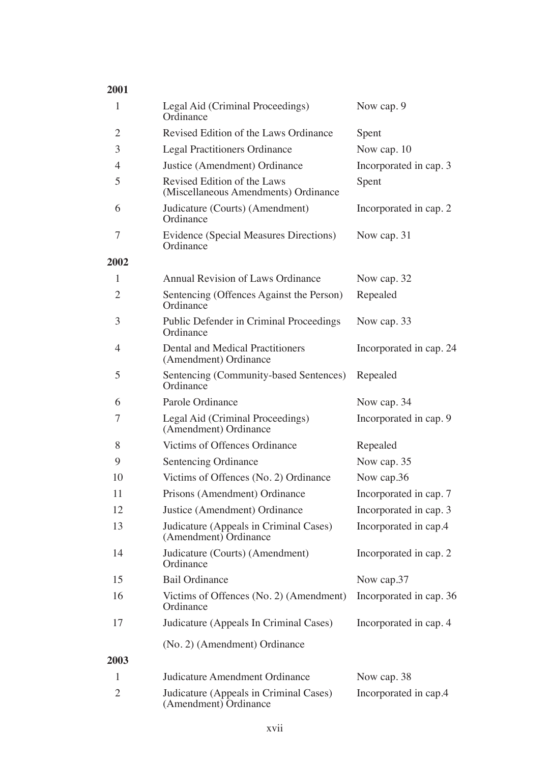| 1    | Legal Aid (Criminal Proceedings)<br>Ordinance                       | Now cap. 9              |
|------|---------------------------------------------------------------------|-------------------------|
| 2    | Revised Edition of the Laws Ordinance                               | Spent                   |
| 3    | <b>Legal Practitioners Ordinance</b>                                | Now cap. 10             |
| 4    | Justice (Amendment) Ordinance                                       | Incorporated in cap. 3  |
| 5    | Revised Edition of the Laws<br>(Miscellaneous Amendments) Ordinance | Spent                   |
| 6    | Judicature (Courts) (Amendment)<br>Ordinance                        | Incorporated in cap. 2  |
| 7    | Evidence (Special Measures Directions)<br>Ordinance                 | Now cap. 31             |
| 2002 |                                                                     |                         |
| 1    | Annual Revision of Laws Ordinance                                   | Now cap. 32             |
| 2    | Sentencing (Offences Against the Person)<br>Ordinance               | Repealed                |
| 3    | Public Defender in Criminal Proceedings<br>Ordinance                | Now cap. 33             |
| 4    | Dental and Medical Practitioners<br>(Amendment) Ordinance           | Incorporated in cap. 24 |
| 5    | Sentencing (Community-based Sentences)<br>Ordinance                 | Repealed                |
| 6    | Parole Ordinance                                                    | Now cap. 34             |
| 7    | Legal Aid (Criminal Proceedings)<br>(Amendment) Ordinance           | Incorporated in cap. 9  |
| 8    | Victims of Offences Ordinance                                       | Repealed                |
| 9    | Sentencing Ordinance                                                | Now cap. 35             |
| 10   | Victims of Offences (No. 2) Ordinance                               | Now cap.36              |
| 11   | Prisons (Amendment) Ordinance                                       | Incorporated in cap. 7  |
| 12   | Justice (Amendment) Ordinance                                       | Incorporated in cap. 3  |
| 13   | Judicature (Appeals in Criminal Cases)<br>(Amendment) Ordinance     | Incorporated in cap.4   |
| 14   | Judicature (Courts) (Amendment)<br>Ordinance                        | Incorporated in cap. 2  |
| 15   | <b>Bail Ordinance</b>                                               | Now cap.37              |
| 16   | Victims of Offences (No. 2) (Amendment)<br>Ordinance                | Incorporated in cap. 36 |
| 17   | Judicature (Appeals In Criminal Cases)                              | Incorporated in cap. 4  |
| 2003 | (No. 2) (Amendment) Ordinance                                       |                         |
| 1    | Judicature Amendment Ordinance                                      | Now cap. 38             |
| 2    | Judicature (Appeals in Criminal Cases)<br>(Amendment) Ordinance     | Incorporated in cap.4   |

##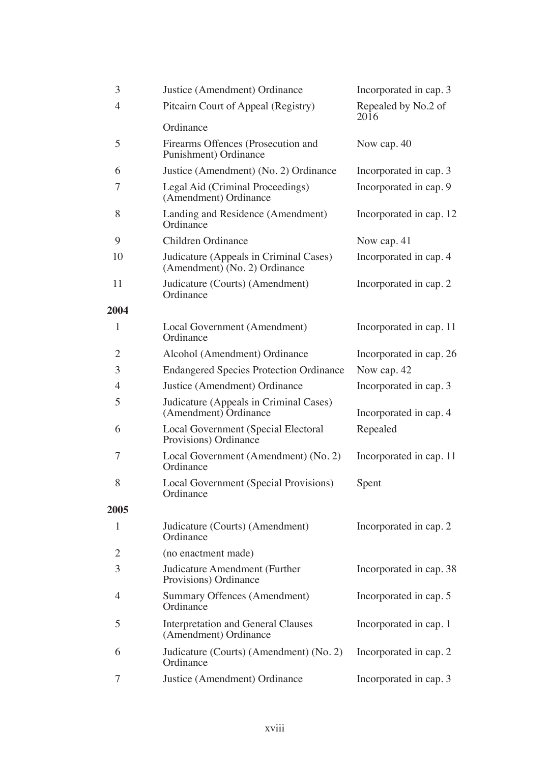| 3            | Justice (Amendment) Ordinance                                           | Incorporated in cap. 3      |
|--------------|-------------------------------------------------------------------------|-----------------------------|
| 4            | Pitcairn Court of Appeal (Registry)                                     | Repealed by No.2 of<br>2016 |
|              | Ordinance                                                               |                             |
| 5            | Firearms Offences (Prosecution and<br>Punishment) Ordinance             | Now cap. 40                 |
| 6            | Justice (Amendment) (No. 2) Ordinance                                   | Incorporated in cap. 3      |
| 7            | Legal Aid (Criminal Proceedings)<br>(Amendment) Ordinance               | Incorporated in cap. 9      |
| 8            | Landing and Residence (Amendment)<br>Ordinance                          | Incorporated in cap. 12     |
| 9            | Children Ordinance                                                      | Now cap. 41                 |
| 10           | Judicature (Appeals in Criminal Cases)<br>(Amendment) (No. 2) Ordinance | Incorporated in cap. 4      |
| 11           | Judicature (Courts) (Amendment)<br>Ordinance                            | Incorporated in cap. 2      |
| 2004         |                                                                         |                             |
| 1            | Local Government (Amendment)<br>Ordinance                               | Incorporated in cap. 11     |
| 2            | Alcohol (Amendment) Ordinance                                           | Incorporated in cap. 26     |
| 3            | <b>Endangered Species Protection Ordinance</b>                          | Now cap. 42                 |
| 4            | Justice (Amendment) Ordinance                                           | Incorporated in cap. 3      |
| 5            | Judicature (Appeals in Criminal Cases)<br>(Amendment) Ordinance         | Incorporated in cap. 4      |
| 6            | Local Government (Special Electoral<br>Provisions) Ordinance            | Repealed                    |
| 7            | Local Government (Amendment) (No. 2)<br>Ordinance                       | Incorporated in cap. 11     |
| 8            | Local Government (Special Provisions)<br>Ordinance                      | Spent                       |
| 2005         |                                                                         |                             |
| $\mathbf{1}$ | Judicature (Courts) (Amendment)<br>Ordinance                            | Incorporated in cap. 2      |
| 2            | (no enactment made)                                                     |                             |
| 3            | Judicature Amendment (Further<br>Provisions) Ordinance                  | Incorporated in cap. 38     |
| 4            | Summary Offences (Amendment)<br>Ordinance                               | Incorporated in cap. 5      |
| 5            | <b>Interpretation and General Clauses</b><br>(Amendment) Ordinance      | Incorporated in cap. 1      |
| 6            | Judicature (Courts) (Amendment) (No. 2)<br>Ordinance                    | Incorporated in cap. 2      |
| 7            | Justice (Amendment) Ordinance                                           | Incorporated in cap. 3      |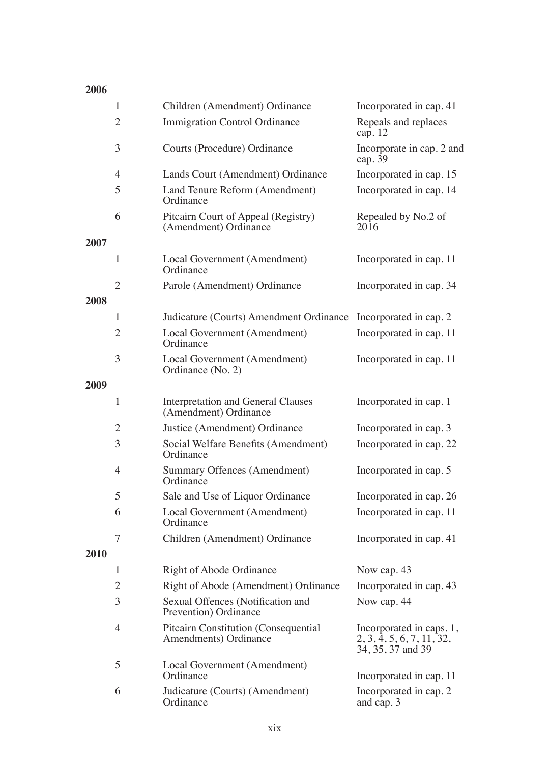### 

|             | $\mathbf{1}$   | Children (Amendment) Ordinance                                | Incorporated in cap. 41                                                    |
|-------------|----------------|---------------------------------------------------------------|----------------------------------------------------------------------------|
|             | 2              | Immigration Control Ordinance                                 | Repeals and replaces<br>cap. $12$                                          |
|             | 3              | Courts (Procedure) Ordinance                                  | Incorporate in cap. 2 and<br>cap. 39                                       |
|             | 4              | Lands Court (Amendment) Ordinance                             | Incorporated in cap. 15                                                    |
|             | 5              | Land Tenure Reform (Amendment)<br>Ordinance                   | Incorporated in cap. 14                                                    |
|             | 6              | Pitcairn Court of Appeal (Registry)<br>(Amendment) Ordinance  | Repealed by No.2 of<br>2016                                                |
| 2007        |                |                                                               |                                                                            |
|             | $\mathbf{1}$   | Local Government (Amendment)<br>Ordinance                     | Incorporated in cap. 11                                                    |
| 2008        | $\overline{2}$ | Parole (Amendment) Ordinance                                  | Incorporated in cap. 34                                                    |
|             | 1              | Judicature (Courts) Amendment Ordinance                       | Incorporated in cap. 2                                                     |
|             | $\mathfrak{2}$ | Local Government (Amendment)<br>Ordinance                     | Incorporated in cap. 11                                                    |
|             | 3              | Local Government (Amendment)<br>Ordinance (No. 2)             | Incorporated in cap. 11                                                    |
| 2009        |                |                                                               |                                                                            |
|             | $\mathbf{1}$   | Interpretation and General Clauses<br>(Amendment) Ordinance   | Incorporated in cap. 1                                                     |
|             | $\overline{c}$ | Justice (Amendment) Ordinance                                 | Incorporated in cap. 3                                                     |
|             | 3              | Social Welfare Benefits (Amendment)<br>Ordinance              | Incorporated in cap. 22                                                    |
|             | 4              | <b>Summary Offences (Amendment)</b><br>Ordinance              | Incorporated in cap. 5                                                     |
|             | 5              | Sale and Use of Liquor Ordinance                              | Incorporated in cap. 26                                                    |
|             | 6              | Local Government (Amendment)<br>Ordinance                     | Incorporated in cap. 11                                                    |
|             | 7              | Children (Amendment) Ordinance                                | Incorporated in cap. 41                                                    |
| <b>2010</b> |                |                                                               |                                                                            |
|             | 1              | Right of Abode Ordinance                                      | Now cap. 43                                                                |
|             | 2              | Right of Abode (Amendment) Ordinance                          | Incorporated in cap. 43                                                    |
|             | 3              | Sexual Offences (Notification and<br>Prevention) Ordinance    | Now cap. 44                                                                |
|             | 4              | Pitcairn Constitution (Consequential<br>Amendments) Ordinance | Incorporated in caps. 1,<br>2, 3, 4, 5, 6, 7, 11, 32,<br>34, 35, 37 and 39 |
|             | 5              | Local Government (Amendment)<br>Ordinance                     | Incorporated in cap. 11                                                    |
|             | 6              | Judicature (Courts) (Amendment)<br>Ordinance                  | Incorporated in cap. 2<br>and cap. 3                                       |